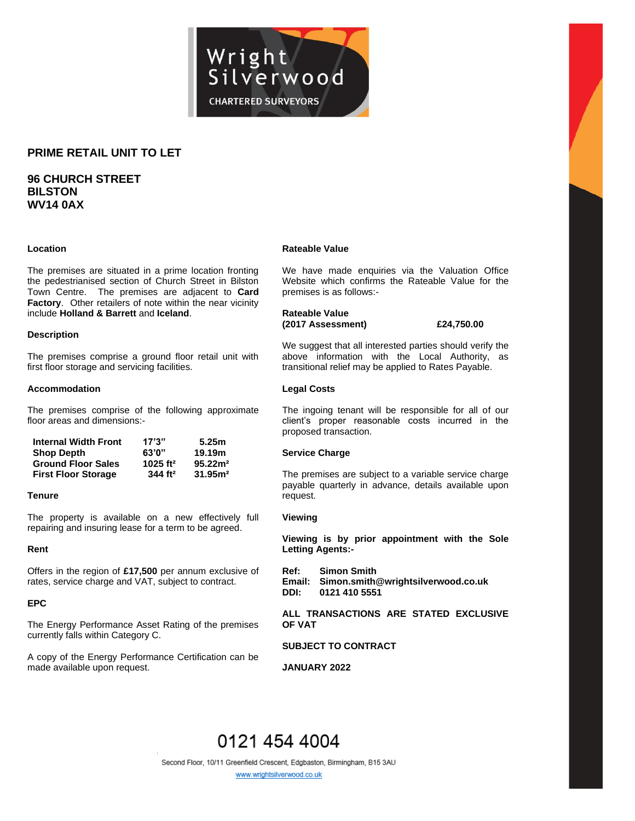

## **PRIME RETAIL UNIT TO LET**

# **96 CHURCH STREET BILSTON WV14 0AX**

#### **Location**

The premises are situated in a prime location fronting the pedestrianised section of Church Street in Bilston Town Centre. The premises are adjacent to **Card Factory**. Other retailers of note within the near vicinity include **Holland & Barrett** and **Iceland**.

#### **Description**

The premises comprise a ground floor retail unit with first floor storage and servicing facilities.

#### **Accommodation**

The premises comprise of the following approximate floor areas and dimensions:-

| <b>Internal Width Front</b> | 17'3''                 | 5.25m               |
|-----------------------------|------------------------|---------------------|
| <b>Shop Depth</b>           | 63'0"                  | 19.19m              |
| <b>Ground Floor Sales</b>   | $1025$ ft <sup>2</sup> | 95.22 <sup>2</sup>  |
| <b>First Floor Storage</b>  | 344 ft <sup>2</sup>    | 31.95 <sup>m²</sup> |

#### **Tenure**

The property is available on a new effectively full repairing and insuring lease for a term to be agreed.

#### **Rent**

Offers in the region of **£17,500** per annum exclusive of rates, service charge and VAT, subject to contract.

#### **EPC**

The Energy Performance Asset Rating of the premises currently falls within Category C.

A copy of the Energy Performance Certification can be made available upon request.

#### **Rateable Value**

We have made enquiries via the Valuation Office Website which confirms the Rateable Value for the premises is as follows:-

### **Rateable Value (2017 Assessment) £24,750.00**

We suggest that all interested parties should verify the above information with the Local Authority, as transitional relief may be applied to Rates Payable.

#### **Legal Costs**

The ingoing tenant will be responsible for all of our client's proper reasonable costs incurred in the proposed transaction.

#### **Service Charge**

The premises are subject to a variable service charge payable quarterly in advance, details available upon request.

#### **Viewing**

**Viewing is by prior appointment with the Sole Letting Agents:-**

**Ref: Simon Smith Email: Simon.smith@wrightsilverwood.co.uk DDI: 0121 410 5551**

#### **ALL TRANSACTIONS ARE STATED EXCLUSIVE OF VAT**

### **SUBJECT TO CONTRACT**

**JANUARY 2022**

# 0121 454 4004

Second Floor, 10/11 Greenfield Crescent, Edgbaston, Birmingham, B15 3AU

www.wrightsilverwood.co.uk